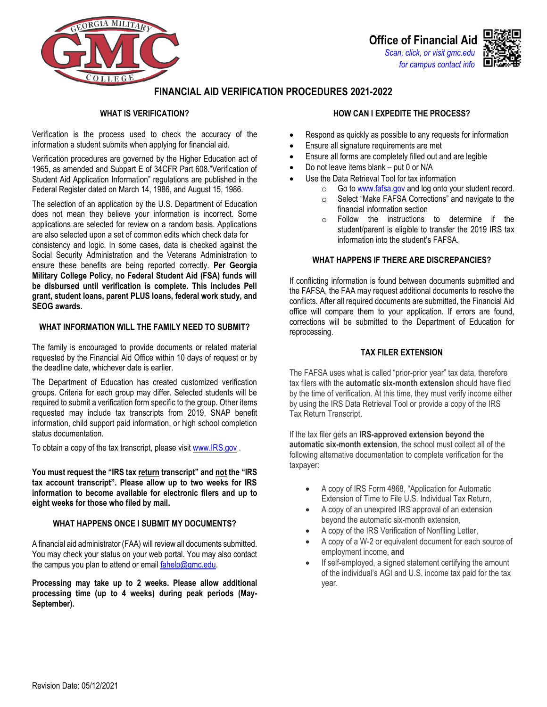



# **FINANCIAL AID VERIFICATION PROCEDURES 2021-2022**

# **WHAT IS VERIFICATION?**

Verification is the process used to check the accuracy of the information a student submits when applying for financial aid.

Verification procedures are governed by the Higher Education act of 1965, as amended and Subpart E of 34CFR Part 608."Verification of Student Aid Application Information" regulations are published in the Federal Register dated on March 14, 1986, and August 15, 1986.

The selection of an application by the U.S. Department of Education does not mean they believe your information is incorrect. Some applications are selected for review on a random basis. Applications are also selected upon a set of common edits which check data for

consistency and logic. In some cases, data is checked against the Social Security Administration and the Veterans Administration to ensure these benefits are being reported correctly. **Per Georgia Military College Policy, no Federal Student Aid (FSA) funds will be disbursed until verification is complete. This includes Pell grant, student loans, parent PLUS loans, federal work study, and SEOG awards.** 

## **WHAT INFORMATION WILL THE FAMILY NEED TO SUBMIT?**

The family is encouraged to provide documents or related material requested by the Financial Aid Office within 10 days of request or by the deadline date, whichever date is earlier.

The Department of Education has created customized verification groups. Criteria for each group may differ. Selected students will be required to submit a verification form specific to the group. Other items requested may include tax transcripts from 2019, SNAP benefit information, child support paid information, or high school completion status documentation.

To obtain a copy of the tax transcript, please visit [www.IRS.gov .](https://www.irs.gov/individuals/irs-offers-help-to-students-families-to-get-tax-information-for-student-financial-aid-applications)

**You must request the "IRS tax return transcript" and not the "IRS tax account transcript". Please allow up to two weeks for IRS information to become available for electronic filers and up to eight weeks for those who filed by mail.** 

## **WHAT HAPPENS ONCE I SUBMIT MY DOCUMENTS?**

A financial aid administrator (FAA) will review all documents submitted. You may check your status on your web portal. You may also contact the campus you plan to attend or email fahelp@gmc.edu.

**Processing may take up to 2 weeks. Please allow additional processing time (up to 4 weeks) during peak periods (May-September).** 

# **HOW CAN I EXPEDITE THE PROCESS?**

- Respond as quickly as possible to any requests for information
- Ensure all signature requirements are met
- Ensure all forms are completely filled out and are legible
- Do not leave items blank put 0 or N/A
- Use the Data Retrieval Tool for tax information
	- o Go t[o www.fafsa.gov a](http://www.fafsa.gov/)nd log onto your student record.
	- o Select "Make FAFSA Corrections" and navigate to the financial information section
	- o Follow the instructions to determine if the student/parent is eligible to transfer the 2019 IRS tax information into the student's FAFSA.

# **WHAT HAPPENS IF THERE ARE DISCREPANCIES?**

If conflicting information is found between documents submitted and the FAFSA, the FAA may request additional documents to resolve the conflicts. After all required documents are submitted, the Financial Aid office will compare them to your application. If errors are found, corrections will be submitted to the Department of Education for reprocessing.

## **TAX FILER EXTENSION**

The FAFSA uses what is called "prior-prior year" tax data, therefore tax filers with the **automatic six-month extension** should have filed by the time of verification. At this time, they must verify income either by using the IRS Data Retrieval Tool or provide a copy of the IRS Tax Return Transcript.

If the tax filer gets an **IRS-approved extension beyond the automatic six-month extension**, the school must collect all of the following alternative documentation to complete verification for the taxpayer:

- A copy of IRS Form 4868, "Application for Automatic Extension of Time to File U.S. Individual Tax Return,
- A copy of an unexpired IRS approval of an extension beyond the automatic six-month extension,
- A copy of the IRS Verification of Nonfiling Letter,
- A copy of a W-2 or equivalent document for each source of employment income, **and**
- If self-employed, a signed statement certifying the amount of the individual's AGI and U.S. income tax paid for the tax year.